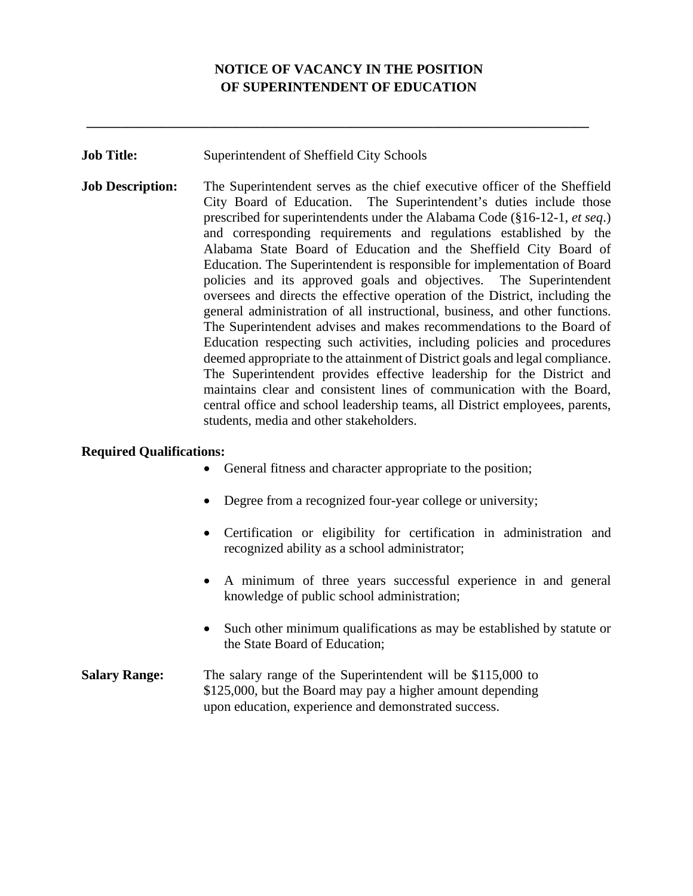## **NOTICE OF VACANCY IN THE POSITION OF SUPERINTENDENT OF EDUCATION**

**\_\_\_\_\_\_\_\_\_\_\_\_\_\_\_\_\_\_\_\_\_\_\_\_\_\_\_\_\_\_\_\_\_\_\_\_\_\_\_\_\_\_\_\_\_\_\_\_\_\_\_\_\_\_\_\_\_\_\_\_\_\_\_\_\_\_\_\_\_\_\_\_\_\_** 

**Job Title:** Superintendent of Sheffield City Schools

**Job Description:** The Superintendent serves as the chief executive officer of the Sheffield City Board of Education. The Superintendent's duties include those prescribed for superintendents under the Alabama Code (§16-12-1, *et seq*.) and corresponding requirements and regulations established by the Alabama State Board of Education and the Sheffield City Board of Education. The Superintendent is responsible for implementation of Board policies and its approved goals and objectives. The Superintendent oversees and directs the effective operation of the District, including the general administration of all instructional, business, and other functions. The Superintendent advises and makes recommendations to the Board of Education respecting such activities, including policies and procedures deemed appropriate to the attainment of District goals and legal compliance. The Superintendent provides effective leadership for the District and maintains clear and consistent lines of communication with the Board, central office and school leadership teams, all District employees, parents, students, media and other stakeholders.

## **Required Qualifications:**

- General fitness and character appropriate to the position;
- Degree from a recognized four-year college or university;
- Certification or eligibility for certification in administration and recognized ability as a school administrator;
- A minimum of three years successful experience in and general knowledge of public school administration;
- Such other minimum qualifications as may be established by statute or the State Board of Education;
- **Salary Range:** The salary range of the Superintendent will be \$115,000 to \$125,000, but the Board may pay a higher amount depending upon education, experience and demonstrated success.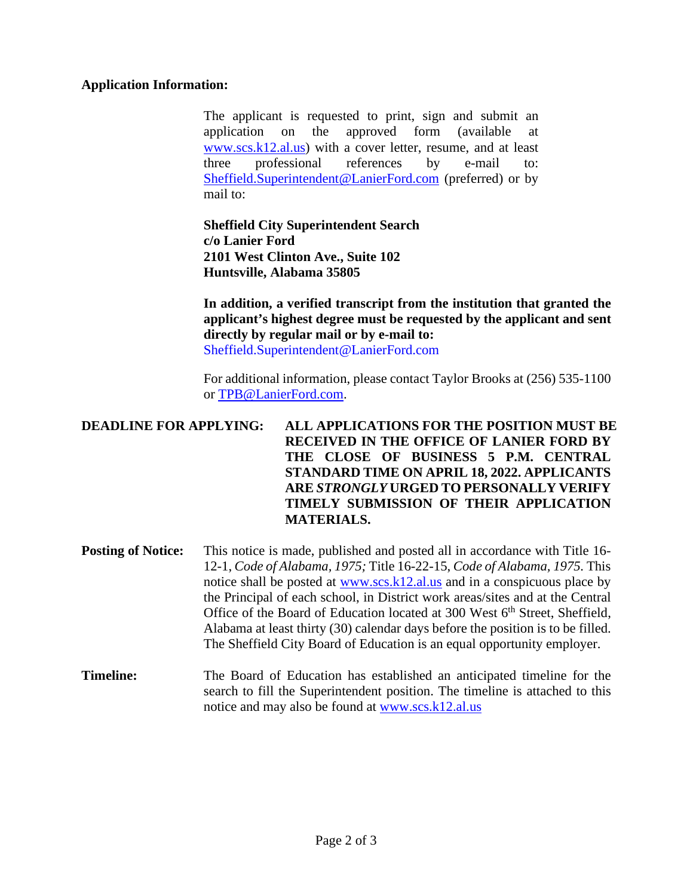## **Application Information:**

The applicant is requested to print, sign and submit an application on the approved form (available at [www.s](http://www./)cs.k12.al.us) with a cover letter, resume, and at least three professional references by e-mail to: [Sheffield.Superintendent@LanierFord.com](mailto:Sheffield.Superintendent@LanierFord.com) (preferred) or by mail to:

**Sheffield City Superintendent Search c/o Lanier Ford 2101 West Clinton Ave., Suite 102 Huntsville, Alabama 35805** 

**In addition, a verified transcript from the institution that granted the applicant's highest degree must be requested by the applicant and sent directly by regular mail or by e-mail to:**  Sheffield.Superintendent@LanierFord.com

For additional information, please contact Taylor Brooks at (256) 535-1100 or [TPB@LanierFord.com.](mailto:TPB@LanierFord.com)

## **DEADLINE FOR APPLYING: ALL APPLICATIONS FOR THE POSITION MUST BE RECEIVED IN THE OFFICE OF LANIER FORD BY THE CLOSE OF BUSINESS 5 P.M. CENTRAL STANDARD TIME ON APRIL 18, 2022. APPLICANTS ARE** *STRONGLY* **URGED TO PERSONALLY VERIFY TIMELY SUBMISSION OF THEIR APPLICATION MATERIALS.**

- **Posting of Notice:** This notice is made, published and posted all in accordance with Title 16-12-1, *Code of Alabama, 1975;* Title 16-22-15, *Code of Alabama, 1975.* This notice shall be posted at [www.s](http://www./)cs.k12.al.us and in a conspicuous place by the Principal of each school, in District work areas/sites and at the Central Office of the Board of Education located at 300 West 6<sup>th</sup> Street, Sheffield, Alabama at least thirty (30) calendar days before the position is to be filled. The Sheffield City Board of Education is an equal opportunity employer.
- **Timeline:** The Board of Education has established an anticipated timeline for the search to fill the Superintendent position. The timeline is attached to this notice and may also be found at [www.s](http://www./)cs.k12.al.us